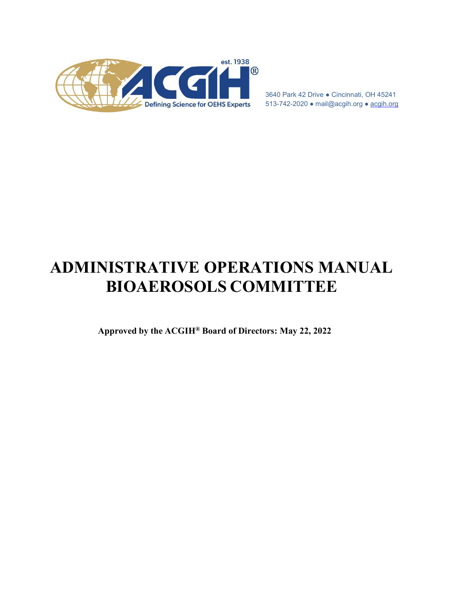<span id="page-0-0"></span>

3640 Park 42 Drive ● Cincinnati, OH 45241 513-742-2020 ● [mail@acgih.org](mailto:mail@acgih.org) ● acgih.org

# **ADMINISTRATIVE OPERATIONS MANUAL BIOAEROSOLS COMMITTEE**

**Approved by the ACGIH® Board of Directors: May 22, 2022**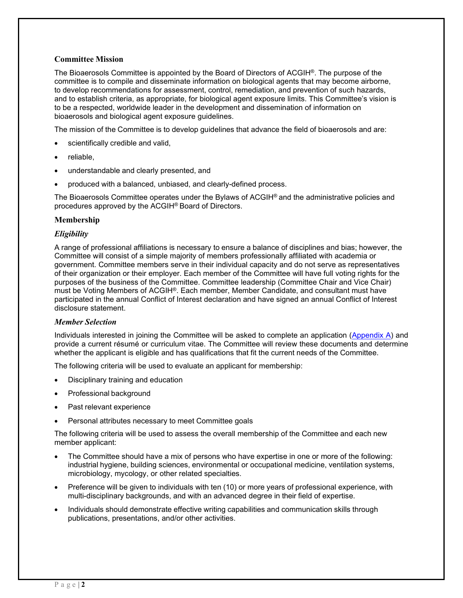## **Committee Mission**

The Bioaerosols Committee is appointed by the Board of Directors of ACGIH<sup>®</sup>. The purpose of the committee is to compile and disseminate information on biological agents that may become airborne, to develop recommendations for assessment, control, remediation, and prevention of such hazards, and to establish criteria, as appropriate, for biological agent exposure limits. This Committee's vision is to be a respected, worldwide leader in the development and dissemination of information on bioaerosols and biological agent exposure guidelines.

The mission of the Committee is to develop guidelines that advance the field of bioaerosols and are:

- scientifically credible and valid,
- reliable,
- understandable and clearly presented, and
- produced with a balanced, unbiased, and clearly-defined process.

The Bioaerosols Committee operates under the Bylaws of ACGIH® and the administrative policies and procedures approved by the ACGIH® Board of Directors.

#### **Membership**

#### *Eligibility*

A range of professional affiliations is necessary to ensure a balance of disciplines and bias; however, the Committee will consist of a simple majority of members professionally affiliated with academia or government. Committee members serve in their individual capacity and do not serve as representatives of their organization or their employer. Each member of the Committee will have full voting rights for the purposes of the business of the Committee. Committee leadership (Committee Chair and Vice Chair) must be Voting Members of ACGIH®. Each member, Member Candidate, and consultant must have participated in the annual Conflict of Interest declaration and have signed an annual Conflict of Interest disclosure statement.

#### *Member Selection*

Individuals interested in joining the Committee will be asked to complete an application [\(Appendix A\)](#page-0-0) and provide a current résumé or curriculum vitae. The Committee will review these documents and determine whether the applicant is eligible and has qualifications that fit the current needs of the Committee.

The following criteria will be used to evaluate an applicant for membership:

- Disciplinary training and education
- Professional background
- Past relevant experience
- Personal attributes necessary to meet Committee goals

The following criteria will be used to assess the overall membership of the Committee and each new member applicant:

- The Committee should have a mix of persons who have expertise in one or more of the following: industrial hygiene, building sciences, environmental or occupational medicine, ventilation systems, microbiology, mycology, or other related specialties.
- Preference will be given to individuals with ten (10) or more years of professional experience, with multi-disciplinary backgrounds, and with an advanced degree in their field of expertise.
- Individuals should demonstrate effective writing capabilities and communication skills through publications, presentations, and/or other activities.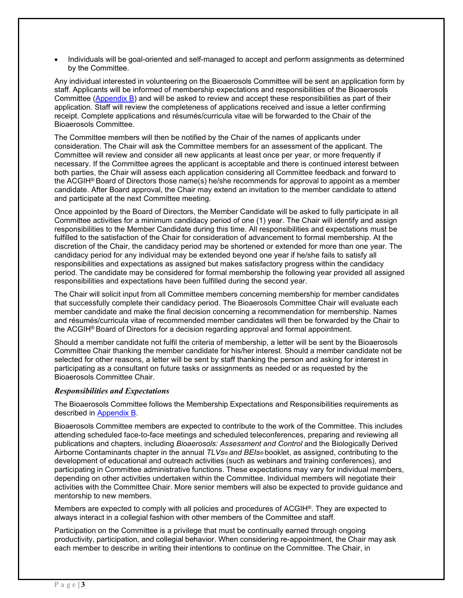• Individuals will be goal-oriented and self-managed to accept and perform assignments as determined by the Committee.

Any individual interested in volunteering on the Bioaerosols Committee will be sent an application form by staff. Applicants will be informed of membership expectations and responsibilities of the Bioaerosols Committee [\(Appendix B\)](#page-15-0) and will be asked to review and accept these responsibilities as part of their application. Staff will review the completeness of applications received and issue a letter confirming receipt. Complete applications and résumés/curricula vitae will be forwarded to the Chair of the Bioaerosols Committee.

The Committee members will then be notified by the Chair of the names of applicants under consideration. The Chair will ask the Committee members for an assessment of the applicant. The Committee will review and consider all new applicants at least once per year, or more frequently if necessary. If the Committee agrees the applicant is acceptable and there is continued interest between both parties, the Chair will assess each application considering all Committee feedback and forward to the ACGIH® Board of Directors those name(s) he/she recommends for approval to appoint as a member candidate. After Board approval, the Chair may extend an invitation to the member candidate to attend and participate at the next Committee meeting.

Once appointed by the Board of Directors, the Member Candidate will be asked to fully participate in all Committee activities for a minimum candidacy period of one (1) year. The Chair will identify and assign responsibilities to the Member Candidate during this time. All responsibilities and expectations must be fulfilled to the satisfaction of the Chair for consideration of advancement to formal membership. At the discretion of the Chair, the candidacy period may be shortened or extended for more than one year. The candidacy period for any individual may be extended beyond one year if he/she fails to satisfy all responsibilities and expectations as assigned but makes satisfactory progress within the candidacy period. The candidate may be considered for formal membership the following year provided all assigned responsibilities and expectations have been fulfilled during the second year.

The Chair will solicit input from all Committee members concerning membership for member candidates that successfully complete their candidacy period. The Bioaerosols Committee Chair will evaluate each member candidate and make the final decision concerning a recommendation for membership. Names and résumés/curricula vitae of recommended member candidates will then be forwarded by the Chair to the ACGIH® Board of Directors for a decision regarding approval and formal appointment.

Should a member candidate not fulfil the criteria of membership, a letter will be sent by the Bioaerosols Committee Chair thanking the member candidate for his/her interest. Should a member candidate not be selected for other reasons, a letter will be sent by staff thanking the person and asking for interest in participating as a consultant on future tasks or assignments as needed or as requested by the Bioaerosols Committee Chair.

# *Responsibilities and Expectations*

The Bioaerosols Committee follows the Membership Expectations and Responsibilities requirements as described in [Appendix](#page-15-0) B.

Bioaerosols Committee members are expected to contribute to the work of the Committee. This includes attending scheduled face-to-face meetings and scheduled teleconferences, preparing and reviewing all publications and chapters, including *Bioaerosols: Assessment and Control* and the Biologically Derived Airborne Contaminants chapter in the annual *TLVs® and BEIs®* booklet, as assigned, contributing to the development of educational and outreach activities (such as webinars and training conferences), and participating in Committee administrative functions. These expectations may vary for individual members, depending on other activities undertaken within the Committee. Individual members will negotiate their activities with the Committee Chair. More senior members will also be expected to provide guidance and mentorship to new members.

Members are expected to comply with all policies and procedures of ACGIH®. They are expected to always interact in a collegial fashion with other members of the Committee and staff.

Participation on the Committee is a privilege that must be continually earned through ongoing productivity, participation, and collegial behavior. When considering re-appointment, the Chair may ask each member to describe in writing their intentions to continue on the Committee. The Chair, in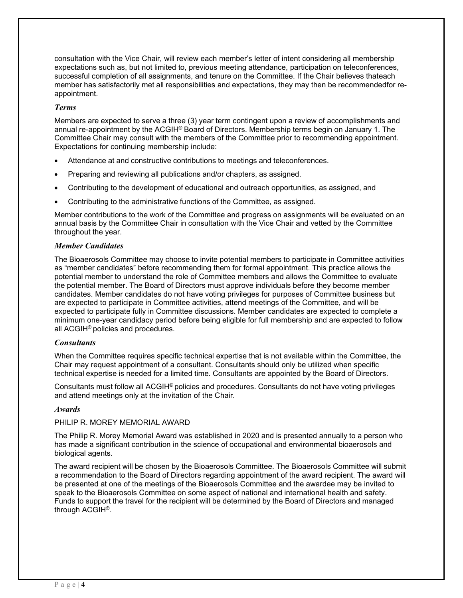consultation with the Vice Chair, will review each member's letter of intent considering all membership expectations such as, but not limited to, previous meeting attendance, participation on teleconferences, successful completion of all assignments, and tenure on the Committee. If the Chair believes thateach member has satisfactorily met all responsibilities and expectations, they may then be recommendedfor reappointment.

## *Terms*

Members are expected to serve a three (3) year term contingent upon a review of accomplishments and annual re-appointment by the ACGIH® Board of Directors. Membership terms begin on January 1. The Committee Chair may consult with the members of the Committee prior to recommending appointment. Expectations for continuing membership include:

- Attendance at and constructive contributions to meetings and teleconferences.
- Preparing and reviewing all publications and/or chapters, as assigned.
- Contributing to the development of educational and outreach opportunities, as assigned, and
- Contributing to the administrative functions of the Committee, as assigned.

Member contributions to the work of the Committee and progress on assignments will be evaluated on an annual basis by the Committee Chair in consultation with the Vice Chair and vetted by the Committee throughout the year.

### *Member Candidates*

The Bioaerosols Committee may choose to invite potential members to participate in Committee activities as "member candidates" before recommending them for formal appointment. This practice allows the potential member to understand the role of Committee members and allows the Committee to evaluate the potential member. The Board of Directors must approve individuals before they become member candidates. Member candidates do not have voting privileges for purposes of Committee business but are expected to participate in Committee activities, attend meetings of the Committee, and will be expected to participate fully in Committee discussions. Member candidates are expected to complete a minimum one-year candidacy period before being eligible for full membership and are expected to follow all ACGIH® policies and procedures.

#### *Consultants*

When the Committee requires specific technical expertise that is not available within the Committee, the Chair may request appointment of a consultant. Consultants should only be utilized when specific technical expertise is needed for a limited time. Consultants are appointed by the Board of Directors.

Consultants must follow all ACGIH® policies and procedures. Consultants do not have voting privileges and attend meetings only at the invitation of the Chair.

#### *Awards*

#### PHILIP R. MOREY MEMORIAL AWARD

The Philip R. Morey Memorial Award was established in 2020 and is presented annually to a person who has made a significant contribution in the science of occupational and environmental bioaerosols and biological agents.

The award recipient will be chosen by the Bioaerosols Committee. The Bioaerosols Committee will submit a recommendation to the Board of Directors regarding appointment of the award recipient. The award will be presented at one of the meetings of the Bioaerosols Committee and the awardee may be invited to speak to the Bioaerosols Committee on some aspect of national and international health and safety. Funds to support the travel for the recipient will be determined by the Board of Directors and managed through ACGIH®.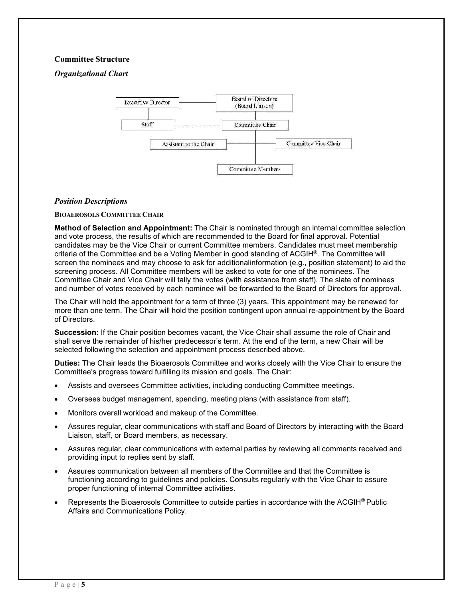### **Committee Structure**

*Organizational Chart*



#### *Position Descriptions*

**BIOAEROSOLS COMMITTEE CHAIR**

**Method of Selection and Appointment:** The Chair is nominated through an internal committee selection and vote process, the results of which are recommended to the Board for final approval. Potential candidates may be the Vice Chair or current Committee members. Candidates must meet membership criteria of the Committee and be a Voting Member in good standing of ACGIH®. The Committee will screen the nominees and may choose to ask for additionalinformation (e.g., position statement) to aid the screening process. All Committee members will be asked to vote for one of the nominees. The Committee Chair and Vice Chair will tally the votes (with assistance from staff). The slate of nominees and number of votes received by each nominee will be forwarded to the Board of Directors for approval.

The Chair will hold the appointment for a term of three (3) years. This appointment may be renewed for more than one term. The Chair will hold the position contingent upon annual re-appointment by the Board of Directors.

**Succession:** If the Chair position becomes vacant, the Vice Chair shall assume the role of Chair and shall serve the remainder of his/her predecessor's term. At the end of the term, a new Chair will be selected following the selection and appointment process described above.

**Duties:** The Chair leads the Bioaerosols Committee and works closely with the Vice Chair to ensure the Committee's progress toward fulfilling its mission and goals. The Chair:

- Assists and oversees Committee activities, including conducting Committee meetings.
- Oversees budget management, spending, meeting plans (with assistance from staff).
- Monitors overall workload and makeup of the Committee.
- Assures regular, clear communications with staff and Board of Directors by interacting with the Board Liaison, staff, or Board members, as necessary.
- Assures regular, clear communications with external parties by reviewing all comments received and providing input to replies sent by staff.
- Assures communication between all members of the Committee and that the Committee is functioning according to guidelines and policies. Consults regularly with the Vice Chair to assure proper functioning of internal Committee activities.
- Represents the Bioaerosols Committee to outside parties in accordance with the ACGIH<sup>®</sup> Public Affairs and Communications Policy.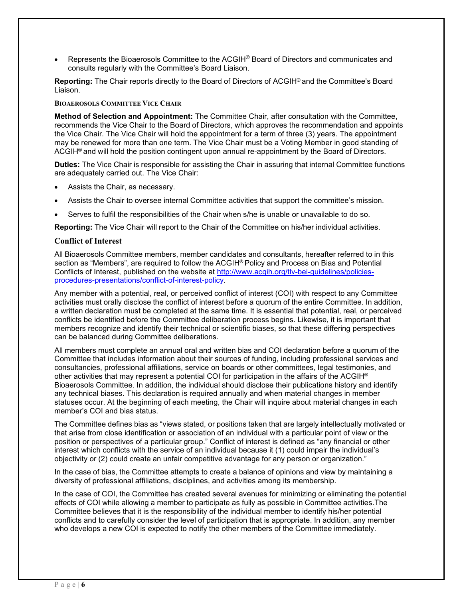• Represents the Bioaerosols Committee to the ACGIH® Board of Directors and communicates and consults regularly with the Committee's Board Liaison.

**Reporting:** The Chair reports directly to the Board of Directors of ACGIH® and the Committee's Board Liaison.

### **BIOAEROSOLS COMMITTEE VICE CHAIR**

**Method of Selection and Appointment:** The Committee Chair, after consultation with the Committee, recommends the Vice Chair to the Board of Directors, which approves the recommendation and appoints the Vice Chair. The Vice Chair will hold the appointment for a term of three (3) years. The appointment may be renewed for more than one term. The Vice Chair must be a Voting Member in good standing of ACGIH® and will hold the position contingent upon annual re-appointment by the Board of Directors.

**Duties:** The Vice Chair is responsible for assisting the Chair in assuring that internal Committee functions are adequately carried out. The Vice Chair:

- Assists the Chair, as necessary.
- Assists the Chair to oversee internal Committee activities that support the committee's mission.
- Serves to fulfil the responsibilities of the Chair when s/he is unable or unavailable to do so.

**Reporting:** The Vice Chair will report to the Chair of the Committee on his/her individual activities.

#### **Conflict of Interest**

All Bioaerosols Committee members, member candidates and consultants, hereafter referred to in this section as "Members", are required to follow the ACGIH® Policy and Process on Bias and Potential Conflicts of Interest, published on the website at [http://www.acgih.org/tlv](http://www.acgih.org/tlv-bei-guidelines/policies-procedures-presentations/conflict-of-interest-policy)-bei-guidelines/policiesprocedures-[presentations/conflict](http://www.acgih.org/tlv-bei-guidelines/policies-procedures-presentations/conflict-of-interest-policy)-of-interest-policy.

Any member with a potential, real, or perceived conflict of interest (COI) with respect to any Committee activities must orally disclose the conflict of interest before a quorum of the entire Committee. In addition, a written declaration must be completed at the same time. It is essential that potential, real, or perceived conflicts be identified before the Committee deliberation process begins. Likewise, it is important that members recognize and identify their technical or scientific biases, so that these differing perspectives can be balanced during Committee deliberations.

All members must complete an annual oral and written bias and COI declaration before a quorum of the Committee that includes information about their sources of funding, including professional services and consultancies, professional affiliations, service on boards or other committees, legal testimonies, and other activities that may represent a potential COI for participation in the affairs of the ACGIH® Bioaerosols Committee. In addition, the individual should disclose their publications history and identify any technical biases. This declaration is required annually and when material changes in member statuses occur. At the beginning of each meeting, the Chair will inquire about material changes in each member's COI and bias status.

The Committee defines bias as "views stated, or positions taken that are largely intellectually motivated or that arise from close identification or association of an individual with a particular point of view or the position or perspectives of a particular group." Conflict of interest is defined as "any financial or other interest which conflicts with the service of an individual because it (1) could impair the individual's objectivity or (2) could create an unfair competitive advantage for any person or organization."

In the case of bias, the Committee attempts to create a balance of opinions and view by maintaining a diversity of professional affiliations, disciplines, and activities among its membership.

In the case of COI, the Committee has created several avenues for minimizing or eliminating the potential effects of COI while allowing a member to participate as fully as possible in Committee activities.The Committee believes that it is the responsibility of the individual member to identify his/her potential conflicts and to carefully consider the level of participation that is appropriate. In addition, any member who develops a new COI is expected to notify the other members of the Committee immediately.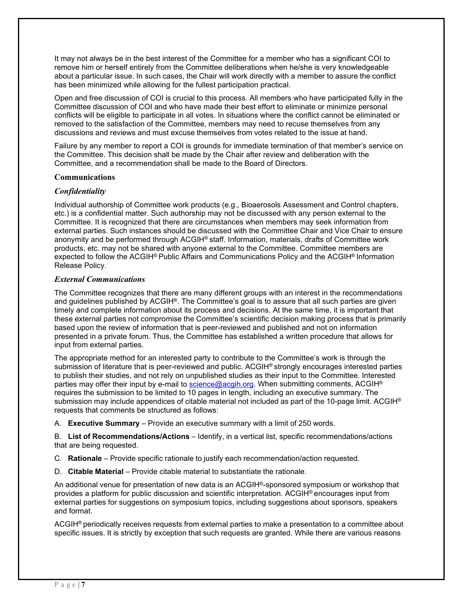It may not always be in the best interest of the Committee for a member who has a significant COI to remove him or herself entirely from the Committee deliberations when he/she is very knowledgeable about a particular issue. In such cases, the Chair will work directly with a member to assure the conflict has been minimized while allowing for the fullest participation practical.

Open and free discussion of COI is crucial to this process. All members who have participated fully in the Committee discussion of COI and who have made their best effort to eliminate or minimize personal conflicts will be eligible to participate in all votes. In situations where the conflict cannot be eliminated or removed to the satisfaction of the Committee, members may need to recuse themselves from any discussions and reviews and must excuse themselves from votes related to the issue at hand.

Failure by any member to report a COI is grounds for immediate termination of that member's service on the Committee. This decision shall be made by the Chair after review and deliberation with the Committee, and a recommendation shall be made to the Board of Directors.

### **Communications**

# *Confidentiality*

Individual authorship of Committee work products (e.g., Bioaerosols Assessment and Control chapters, etc.) is a confidential matter. Such authorship may not be discussed with any person external to the Committee. It is recognized that there are circumstances when members may seek information from external parties. Such instances should be discussed with the Committee Chair and Vice Chair to ensure anonymity and be performed through ACGIH® staff. Information, materials, drafts of Committee work products, etc. may not be shared with anyone external to the Committee. Committee members are expected to follow the ACGIH® Public Affairs and Communications Policy and the ACGIH® Information Release Policy.

# *External Communications*

The Committee recognizes that there are many different groups with an interest in the recommendations and guidelines published by ACGIH®. The Committee's goal is to assure that all such parties are given timely and complete information about its process and decisions. At the same time, it is important that these external parties not compromise the Committee's scientific decision making process that is primarily based upon the review of information that is peer-reviewed and published and not on information presented in a private forum. Thus, the Committee has established a written procedure that allows for input from external parties.

The appropriate method for an interested party to contribute to the Committee's work is through the submission of literature that is peer-reviewed and public. ACGIH<sup>®</sup> strongly encourages interested parties to publish their studies, and not rely on unpublished studies as their input to the Committee. Interested parties may offer their input by e-mail to [science@acgih.org. W](mailto:science@acgih.org)hen submitting comments, ACGIH<sup>®</sup> requires the submission to be limited to 10 pages in length, including an executive summary. The submission may include appendices of citable material not included as part of the 10-page limit. ACGIH<sup>®</sup> requests that comments be structured as follows:

A. **Executive Summary** – Provide an executive summary with a limit of 250 words.

B. **List of Recommendations/Actions** – Identify, in a vertical list, specific recommendations/actions that are being requested.

- C. **Rationale** Provide specific rationale to justify each recommendation/action requested.
- D. **Citable Material** Provide citable material to substantiate the rationale.

An additional venue for presentation of new data is an ACGIH®-sponsored symposium or workshop that provides a platform for public discussion and scientific interpretation. ACGIH® encourages input from external parties for suggestions on symposium topics, including suggestions about sponsors, speakers and format.

ACGIH® periodically receives requests from external parties to make a presentation to a committee about specific issues. It is strictly by exception that such requests are granted. While there are various reasons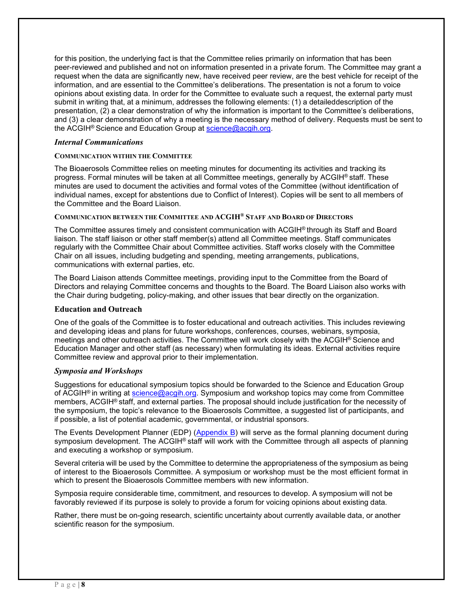for this position, the underlying fact is that the Committee relies primarily on information that has been peer-reviewed and published and not on information presented in a private forum. The Committee may grant a request when the data are significantly new, have received peer review, are the best vehicle for receipt of the information, and are essential to the Committee's deliberations. The presentation is not a forum to voice opinions about existing data. In order for the Committee to evaluate such a request, the external party must submit in writing that, at a minimum, addresses the following elements: (1) a detaileddescription of the presentation, (2) a clear demonstration of why the information is important to the Committee's deliberations, and (3) a clear demonstration of why a meeting is the necessary method of delivery. Requests must be sent to the ACGIH® Science and Education Group at [science@acgih.org.](mailto:science@acgih.org)

## *Internal Communications*

### **COMMUNICATION WITHIN THE COMMITTEE**

The Bioaerosols Committee relies on meeting minutes for documenting its activities and tracking its progress. Formal minutes will be taken at all Committee meetings, generally by ACGIH® staff. These minutes are used to document the activities and formal votes of the Committee (without identification of individual names, except for abstentions due to Conflict of Interest). Copies will be sent to all members of the Committee and the Board Liaison.

#### **COMMUNICATION BETWEEN THE COMMITTEE AND ACGIH® STAFF AND BOARD OF DIRECTORS**

The Committee assures timely and consistent communication with ACGIH® through its Staff and Board liaison. The staff liaison or other staff member(s) attend all Committee meetings. Staff communicates regularly with the Committee Chair about Committee activities. Staff works closely with the Committee Chair on all issues, including budgeting and spending, meeting arrangements, publications, communications with external parties, etc.

The Board Liaison attends Committee meetings, providing input to the Committee from the Board of Directors and relaying Committee concerns and thoughts to the Board. The Board Liaison also works with the Chair during budgeting, policy-making, and other issues that bear directly on the organization.

# **Education and Outreach**

One of the goals of the Committee is to foster educational and outreach activities. This includes reviewing and developing ideas and plans for future workshops, conferences, courses, webinars, symposia, meetings and other outreach activities. The Committee will work closely with the ACGIH® Science and Education Manager and other staff (as necessary) when formulating its ideas. External activities require Committee review and approval prior to their implementation.

#### *Symposia and Workshops*

Suggestions for educational symposium topics should be forwarded to the Science and Education Group of ACGIH® in writing at [science@acgih.org. S](mailto:science@acgih.org)ymposium and workshop topics may come from Committee members, ACGIH® staff, and external parties. The proposal should include justification for the necessity of the symposium, the topic's relevance to the Bioaerosols Committee, a suggested list of participants, and if possible, a list of potential academic, governmental, or industrial sponsors.

The Events Development Planner (EDP) [\(Appendix B\)](#page-15-0) will serve as the formal planning document during symposium development. The ACGIH® staff will work with the Committee through all aspects of planning and executing a workshop or symposium.

Several criteria will be used by the Committee to determine the appropriateness of the symposium as being of interest to the Bioaerosols Committee. A symposium or workshop must be the most efficient format in which to present the Bioaerosols Committee members with new information.

Symposia require considerable time, commitment, and resources to develop. A symposium will not be favorably reviewed if its purpose is solely to provide a forum for voicing opinions about existing data.

Rather, there must be on-going research, scientific uncertainty about currently available data, or another scientific reason for the symposium.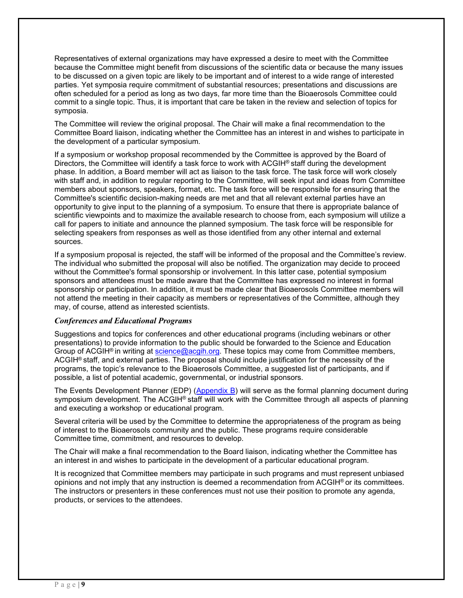Representatives of external organizations may have expressed a desire to meet with the Committee because the Committee might benefit from discussions of the scientific data or because the many issues to be discussed on a given topic are likely to be important and of interest to a wide range of interested parties. Yet symposia require commitment of substantial resources; presentations and discussions are often scheduled for a period as long as two days, far more time than the Bioaerosols Committee could commit to a single topic. Thus, it is important that care be taken in the review and selection of topics for symposia.

The Committee will review the original proposal. The Chair will make a final recommendation to the Committee Board liaison, indicating whether the Committee has an interest in and wishes to participate in the development of a particular symposium.

If a symposium or workshop proposal recommended by the Committee is approved by the Board of Directors, the Committee will identify a task force to work with ACGIH<sup>®</sup> staff during the development phase. In addition, a Board member will act as liaison to the task force. The task force will work closely with staff and, in addition to regular reporting to the Committee, will seek input and ideas from Committee members about sponsors, speakers, format, etc. The task force will be responsible for ensuring that the Committee's scientific decision-making needs are met and that all relevant external parties have an opportunity to give input to the planning of a symposium. To ensure that there is appropriate balance of scientific viewpoints and to maximize the available research to choose from, each symposium will utilize a call for papers to initiate and announce the planned symposium. The task force will be responsible for selecting speakers from responses as well as those identified from any other internal and external sources.

If a symposium proposal is rejected, the staff will be informed of the proposal and the Committee's review. The individual who submitted the proposal will also be notified. The organization may decide to proceed without the Committee's formal sponsorship or involvement. In this latter case, potential symposium sponsors and attendees must be made aware that the Committee has expressed no interest in formal sponsorship or participation. In addition, it must be made clear that Bioaerosols Committee members will not attend the meeting in their capacity as members or representatives of the Committee, although they may, of course, attend as interested scientists.

#### *Conferences and Educational Programs*

Suggestions and topics for conferences and other educational programs (including webinars or other presentations) to provide information to the public should be forwarded to the Science and Education Group of ACGIH® in writing at [science@acgih.org. T](mailto:science@acgih.org)hese topics may come from Committee members, ACGIH® staff, and external parties. The proposal should include justification for the necessity of the programs, the topic's relevance to the Bioaerosols Committee, a suggested list of participants, and if possible, a list of potential academic, governmental, or industrial sponsors.

The Events Development Planner (EDP) [\(Appendix B\)](#page-15-0) will serve as the formal planning document during symposium development. The ACGIH® staff will work with the Committee through all aspects of planning and executing a workshop or educational program.

Several criteria will be used by the Committee to determine the appropriateness of the program as being of interest to the Bioaerosols community and the public. These programs require considerable Committee time, commitment, and resources to develop.

The Chair will make a final recommendation to the Board liaison, indicating whether the Committee has an interest in and wishes to participate in the development of a particular educational program.

It is recognized that Committee members may participate in such programs and must represent unbiased opinions and not imply that any instruction is deemed a recommendation from ACGIH® or its committees. The instructors or presenters in these conferences must not use their position to promote any agenda, products, or services to the attendees.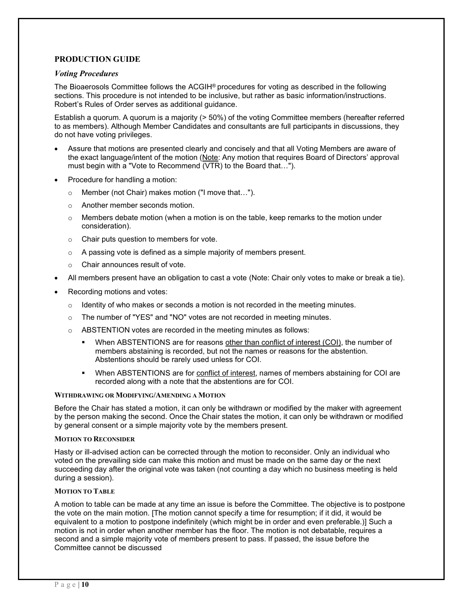# **PRODUCTION GUIDE**

#### *Voting Procedures*

The Bioaerosols Committee follows the ACGIH® procedures for voting as described in the following sections. This procedure is not intended to be inclusive, but rather as basic information/instructions. Robert's Rules of Order serves as additional guidance.

Establish a quorum. A quorum is a majority (> 50%) of the voting Committee members (hereafter referred to as members). Although Member Candidates and consultants are full participants in discussions, they do not have voting privileges.

- Assure that motions are presented clearly and concisely and that all Voting Members are aware of the exact language/intent of the motion (Note: Any motion that requires Board of Directors' approval must begin with a "Vote to Recommend (VTR) to the Board that…").
- Procedure for handling a motion:
	- o Member (not Chair) makes motion ("I move that…").
	- o Another member seconds motion.
	- $\circ$  Members debate motion (when a motion is on the table, keep remarks to the motion under consideration).
	- o Chair puts question to members for vote.
	- o A passing vote is defined as a simple majority of members present.
	- o Chair announces result of vote.
- All members present have an obligation to cast a vote (Note: Chair only votes to make or break a tie).
- Recording motions and votes:
	- $\circ$  Identity of who makes or seconds a motion is not recorded in the meeting minutes.
	- o The number of "YES" and "NO" votes are not recorded in meeting minutes.
	- o ABSTENTION votes are recorded in the meeting minutes as follows:
		- When ABSTENTIONS are for reasons other than conflict of interest (COI), the number of members abstaining is recorded, but not the names or reasons for the abstention. Abstentions should be rarely used unless for COI.
		- When ABSTENTIONS are for conflict of interest, names of members abstaining for COI are recorded along with a note that the abstentions are for COI.

#### **WITHDRAWING OR MODIFYING/AMENDING A MOTION**

Before the Chair has stated a motion, it can only be withdrawn or modified by the maker with agreement by the person making the second. Once the Chair states the motion, it can only be withdrawn or modified by general consent or a simple majority vote by the members present.

#### **MOTION TO RECONSIDER**

Hasty or ill-advised action can be corrected through the motion to reconsider. Only an individual who voted on the prevailing side can make this motion and must be made on the same day or the next succeeding day after the original vote was taken (not counting a day which no business meeting is held during a session).

#### **MOTION TO TABLE**

A motion to table can be made at any time an issue is before the Committee. The objective is to postpone the vote on the main motion. [The motion cannot specify a time for resumption; if it did, it would be equivalent to a motion to postpone indefinitely (which might be in order and even preferable.)] Such a motion is not in order when another member has the floor. The motion is not debatable, requires a second and a simple majority vote of members present to pass. If passed, the issue before the Committee cannot be discussed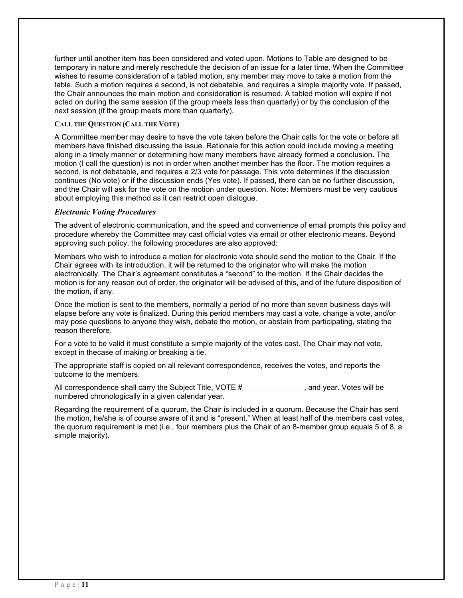further until another item has been considered and voted upon. Motions to Table are designed to be temporary in nature and merely reschedule the decision of an issue for a later time. When the Committee wishes to resume consideration of a tabled motion, any member may move to take a motion from the table. Such a motion requires a second, is not debatable, and requires a simple majority vote. If passed, the Chair announces the main motion and consideration is resumed. A tabled motion will expire if not acted on during the same session (if the group meets less than quarterly) or by the conclusion of the next session (if the group meets more than quarterly).

## **CALL THE QUESTION (CALL THE VOTE)**

A Committee member may desire to have the vote taken before the Chair calls for the vote or before all members have finished discussing the issue. Rationale for this action could include moving a meeting along in a timely manner or determining how many members have already formed a conclusion. The motion (I call the question) is not in order when another member has the floor. The motion requires a second, is not debatable, and requires a 2/3 vote for passage. This vote determines if the discussion continues (No vote) or if the discussion ends (Yes vote). If passed, there can be no further discussion, and the Chair will ask for the vote on the motion under question. Note: Members must be very cautious about employing this method as it can restrict open dialogue.

### *Electronic Voting Procedures*

The advent of electronic communication, and the speed and convenience of email prompts this policy and procedure whereby the Committee may cast official votes via email or other electronic means. Beyond approving such policy, the following procedures are also approved:

Members who wish to introduce a motion for electronic vote should send the motion to the Chair. If the Chair agrees with its introduction, it will be returned to the originator who will make the motion electronically. The Chair's agreement constitutes a "second" to the motion. If the Chair decides the motion is for any reason out of order, the originator will be advised of this, and of the future disposition of the motion, if any.

Once the motion is sent to the members, normally a period of no more than seven business days will elapse before any vote is finalized. During this period members may cast a vote, change a vote, and/or may pose questions to anyone they wish, debate the motion, or abstain from participating, stating the reason therefore.

For a vote to be valid it must constitute a simple majority of the votes cast. The Chair may not vote, except in thecase of making or breaking a tie.

The appropriate staff is copied on all relevant correspondence, receives the votes, and reports the outcome to the members.

All correspondence shall carry the Subject Title, VOTE # , and year. Votes will be numbered chronologically in a given calendar year.

Regarding the requirement of a quorum, the Chair is included in a quorum. Because the Chair has sent the motion, he/she is of course aware of it and is "present." When at least half of the members cast votes, the quorum requirement is met (i.e., four members plus the Chair of an 8-member group equals 5 of 8, a simple majority).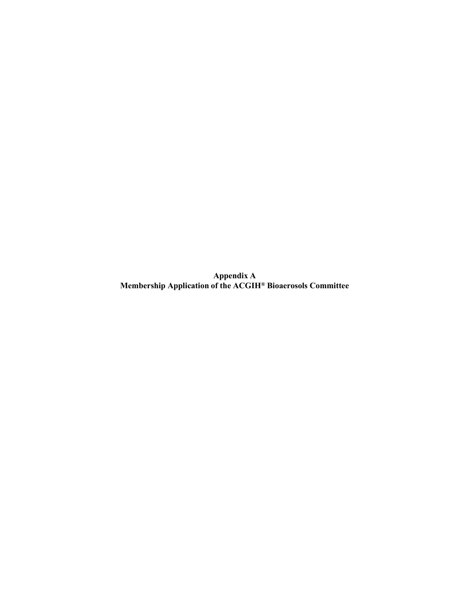**Appendix A Membership Application of the ACGIH® Bioaerosols Committee**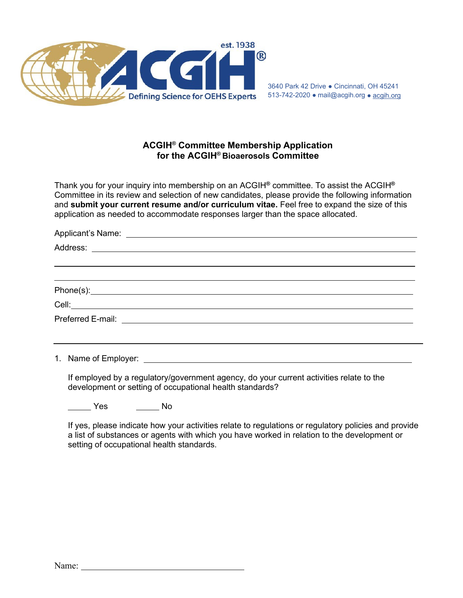

3640 Park 42 Drive ● Cincinnati, OH 45241 513-742-2020 ● [mail@acgih.org](mailto:mail@acgih.org) ● acgih.org

# **ACGIH® Committee Membership Application for the ACGIH® Bioaerosols Committee**

Thank you for your inquiry into membership on an ACGIH**®** committee. To assist the ACGIH**®** Committee in its review and selection of new candidates, please provide the following information and **submit your current resume and/or curriculum vitae.** Feel free to expand the size of this application as needed to accommodate responses larger than the space allocated.

1. Name of Employer:

If employed by a regulatory/government agency, do your current activities relate to the development or setting of occupational health standards?

Yes No

If yes, please indicate how your activities relate to regulations or regulatory policies and provide a list of substances or agents with which you have worked in relation to the development or setting of occupational health standards.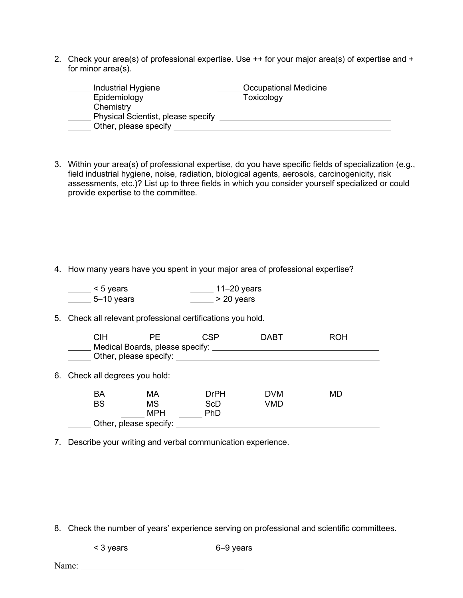2. Check your area(s) of professional expertise. Use  $++$  for your major area(s) of expertise and  $+$ for minor area(s).

| Industrial Hygiene                 | <b>Occupational Medicine</b> |
|------------------------------------|------------------------------|
| Epidemiology                       | Toxicology                   |
| Chemistry                          |                              |
| Physical Scientist, please specify |                              |
| Other, please specify              |                              |

3. Within your area(s) of professional expertise, do you have specific fields of specialization (e.g., field industrial hygiene, noise, radiation, biological agents, aerosols, carcinogenicity, risk assessments, etc.)? List up to three fields in which you consider yourself specialized or could provide expertise to the committee.

4. How many years have you spent in your major area of professional expertise?

| $< 5$ years   | $11-20$ years |
|---------------|---------------|
| $-5-10$ years | > 20 years    |

5. Check all relevant professional certifications you hold.

| SIН |                                 | CSP. | רARר |  |
|-----|---------------------------------|------|------|--|
|     | Medical Boards, please specify: |      |      |  |
|     | Other, please specify:          |      |      |  |

6. Check all degrees you hold:

| BA | МA                     | DrPH       | DVM | MГ |
|----|------------------------|------------|-----|----|
| BS | <b>MS</b>              | <b>ScD</b> | VMD |    |
|    | <b>MPH</b>             | PhD        |     |    |
|    | Other, please specify: |            |     |    |

7. Describe your writing and verbal communication experience.

8. Check the number of years' experience serving on professional and scientific committees.

<u>2001</u> < 3 years 6−9 years

Name:  $\blacksquare$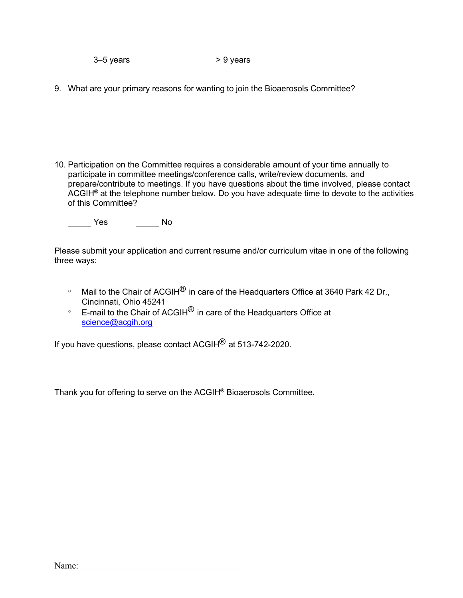<u>2001</u> 3−5 years 3−5 years

9. What are your primary reasons for wanting to join the Bioaerosols Committee?

10. Participation on the Committee requires a considerable amount of your time annually to participate in committee meetings/conference calls, write/review documents, and prepare/contribute to meetings. If you have questions about the time involved, please contact ACGIH**®** at the telephone number below. Do you have adequate time to devote to the activities of this Committee?

Yes No

Please submit your application and current resume and/or curriculum vitae in one of the following three ways:

- $\degree$  Mail to the Chair of ACGIH $\degree$  in care of the Headquarters Office at 3640 Park 42 Dr., Cincinnati, Ohio 45241
- $\degree$  E-mail to the Chair of ACGIH $^\circledR$  in care of the Headquarters Office at [science@acgih.org](mailto:science@acgih.org)

If you have questions, please contact ACGIH® at 513-742-2020.

Thank you for offering to serve on the ACGIH**®** Bioaerosols Committee.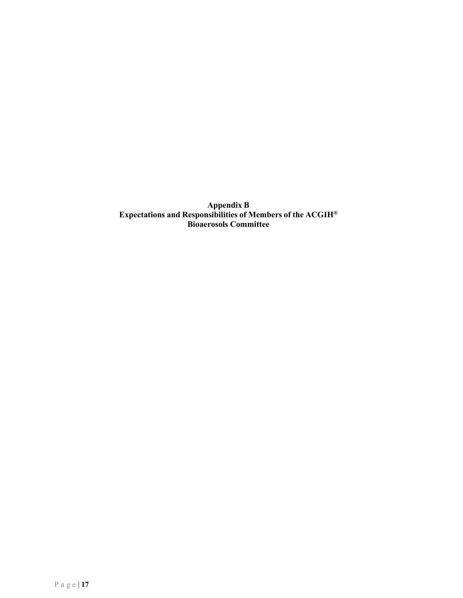<span id="page-15-0"></span>**Appendix B Expectations and Responsibilities of Members of the ACGIH® Bioaerosols Committee**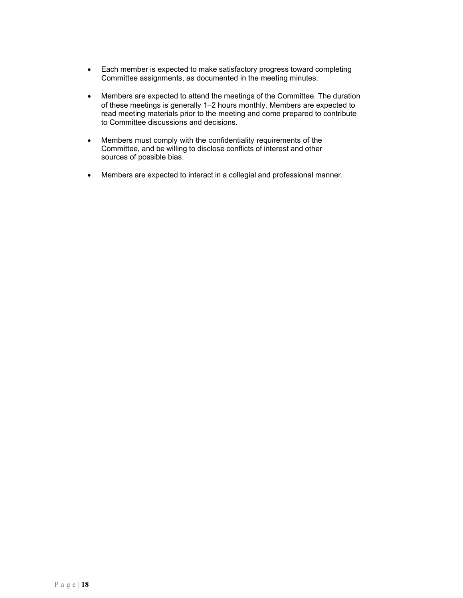- Each member is expected to make satisfactory progress toward completing Committee assignments, as documented in the meeting minutes.
- Members are expected to attend the meetings of the Committee. The duration of these meetings is generally 1−2 hours monthly. Members are expected to read meeting materials prior to the meeting and come prepared to contribute to Committee discussions and decisions.
- Members must comply with the confidentiality requirements of the Committee, and be willing to disclose conflicts of interest and other sources of possible bias.
- Members are expected to interact in a collegial and professional manner.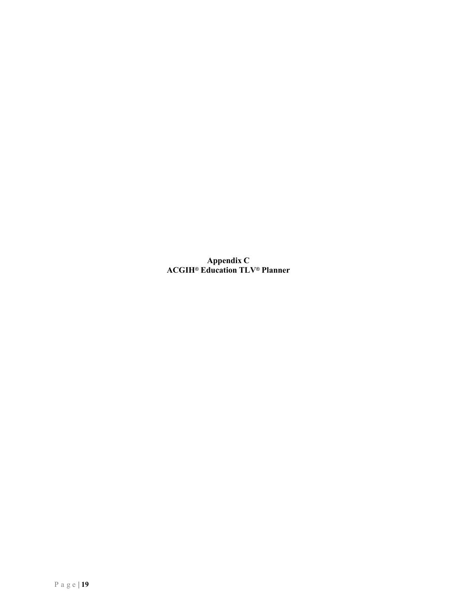**Appendix C ACGIH**® **Education TLV**® **Planner**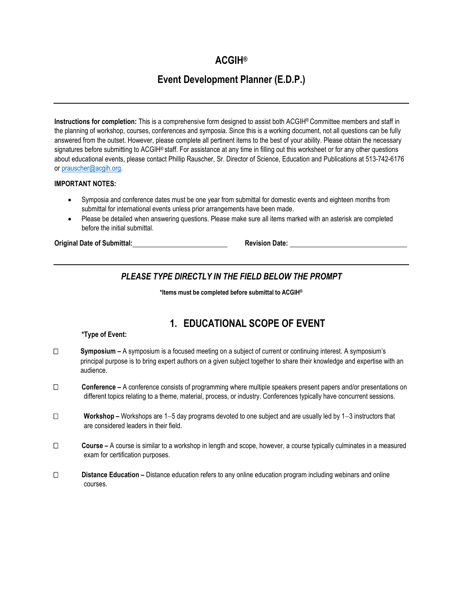# **ACGIH®**

# **Event Development Planner (E.D.P.)**

**Instructions for completion:** This is a comprehensive form designed to assist both ACGIH® Committee members and staff in the planning of workshop, courses, conferences and symposia. Since this is a working document, not all questions can be fully answered from the outset. However, please complete all pertinent items to the best of your ability. Please obtain the necessary signatures before submitting to ACGIH® staff. For assistance at any time in filling out this worksheet or for any other questions about educational events, please contact Phillip Rauscher, Sr. Director of Science, Education and Publications at 513-742-6176 or [prauscher@acgih.org.](mailto:prauscher@acgih.org)

### **IMPORTANT NOTES:**

- Symposia and conference dates must be one year from submittal for domestic events and eighteen months from submittal for international events unless prior arrangements have been made.
- Please be detailed when answering questions. Please make sure all items marked with an asterisk are completed before the initial submittal.

**Original Date of Submittal: Revision Date:** 

# *PLEASE TYPE DIRECTLY IN THE FIELD BELOW THE PROMPT*

**\*Items must be completed before submittal to ACGIH®**

# **1. EDUCATIONAL SCOPE OF EVENT**

#### **\*Type of Event:**

- **Symposium** A symposium is a focused meeting on a subject of current or continuing interest. A symposium's principal purpose is to bring expert authors on a given subject together to share their knowledge and expertise with an audience.
- **Conference** A conference consists of programming where multiple speakers present papers and/or presentations on different topics relating to a theme, material, process, or industry. Conferences typically have concurrent sessions.
- **Workshop** Workshops are 1−5 day programs devoted to one subject and are usually led by 1−3 instructors that are considered leaders in their field.
- **Course** A course is similar to a workshop in length and scope, however, a course typically culminates in a measured exam for certification purposes.
- **Distance Education** Distance education refers to any online education program including webinars and online courses.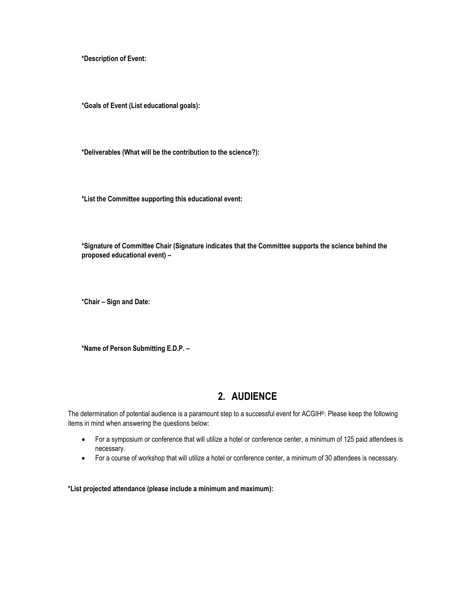**\*Description of Event:**

**\*Goals of Event (List educational goals):**

**\*Deliverables (What will be the contribution to the science?):**

**\*List the Committee supporting this educational event:**

**\*Signature of Committee Chair (Signature indicates that the Committee supports the science behind the proposed educational event) –**

**\*Chair – Sign and Date:**

**\*Name of Person Submitting E.D.P. –**

# **2. AUDIENCE**

The determination of potential audience is a paramount step to a successful event for ACGIH®. Please keep the following items in mind when answering the questions below:

- For a symposium or conference that will utilize a hotel or conference center, a minimum of 125 paid attendees is necessary.
- For a course of workshop that will utilize a hotel or conference center, a minimum of 30 attendees is necessary.

**\*List projected attendance (please include a minimum and maximum):**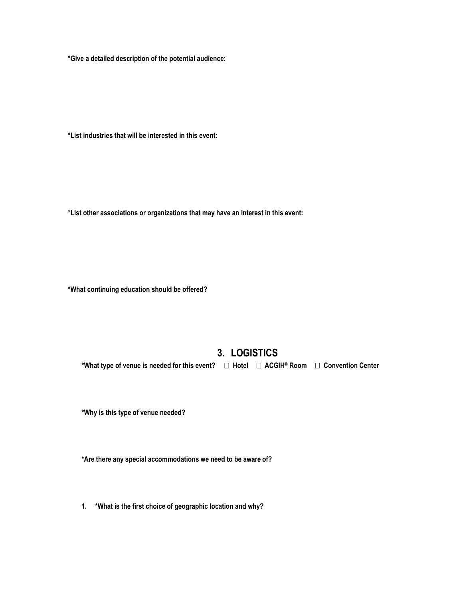**\*Give a detailed description of the potential audience:**

**\*List industries that will be interested in this event:**

**\*List other associations or organizations that may have an interest in this event:**

**\*What continuing education should be offered?**

# **3. LOGISTICS**

**\*What type of venue is needed for this event? Hotel ACGIH® Room Convention Center**

**\*Why is this type of venue needed?**

**\*Are there any special accommodations we need to be aware of?**

**1. \*What is the first choice of geographic location and why?**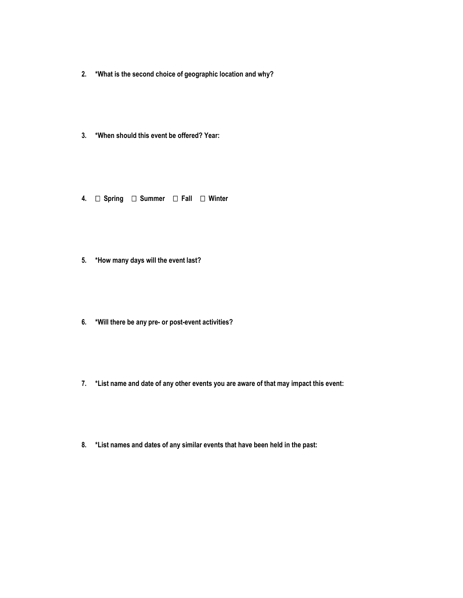- **2. \*What is the second choice of geographic location and why?**
- **3. \*When should this event be offered? Year:**
- **4. Spring Summer Fall Winter**
- **5. \*How many days will the event last?**
- **6. \*Will there be any pre- or post-event activities?**
- **7. \*List name and date of any other events you are aware of that may impact this event:**
- **8. \*List names and dates of any similar events that have been held in the past:**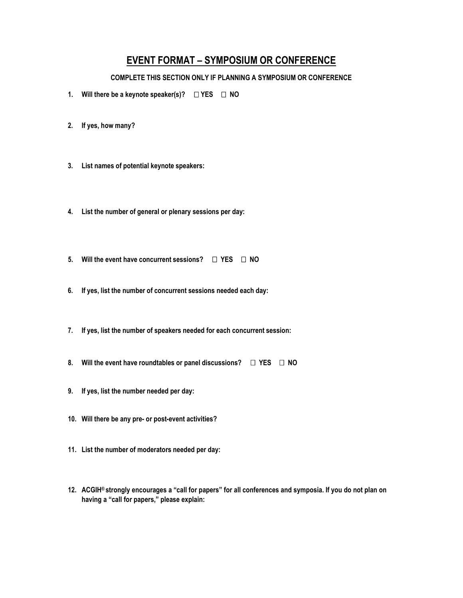# **EVENT FORMAT – SYMPOSIUM OR CONFERENCE**

# **COMPLETE THIS SECTION ONLY IF PLANNING A SYMPOSIUM OR CONFERENCE**

- **1. Will there be a keynote speaker(s)? YES NO**
- **2. If yes, how many?**
- **3. List names of potential keynote speakers:**
- **4. List the number of general or plenary sessions per day:**
- **5. Will the event have concurrent sessions? YES NO**
- **6. If yes, list the number of concurrent sessions needed each day:**
- **7. If yes, list the number of speakers needed for each concurrent session:**
- **8. Will the event have roundtables or panel discussions? YES NO**
- **9. If yes, list the number needed per day:**
- **10. Will there be any pre- or post-event activities?**
- **11. List the number of moderators needed per day:**
- **12. ACGIH® strongly encourages a "call for papers" for all conferences and symposia. If you do not plan on having a "call for papers," please explain:**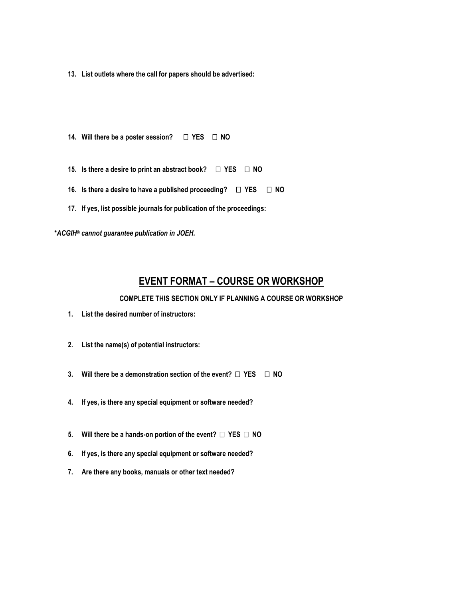**13. List outlets where the call for papers should be advertised:**

- **14. Will there be a poster session? YES NO**
- **15. Is there a desire to print an abstract book? YES NO**
- **16. Is there a desire to have a published proceeding? YES NO**
- **17. If yes, list possible journals for publication of the proceedings:**

**\****ACGIH® cannot guarantee publication in JOEH.*

# **EVENT FORMAT – COURSE OR WORKSHOP**

**COMPLETE THIS SECTION ONLY IF PLANNING A COURSE OR WORKSHOP**

- **1. List the desired number of instructors:**
- **2. List the name(s) of potential instructors:**
- **3. Will there be a demonstration section of the event? YES NO**
- **4. If yes, is there any special equipment or software needed?**
- **5. Will there be a hands-on portion of the event? YES NO**
- **6. If yes, is there any special equipment or software needed?**
- **7. Are there any books, manuals or other text needed?**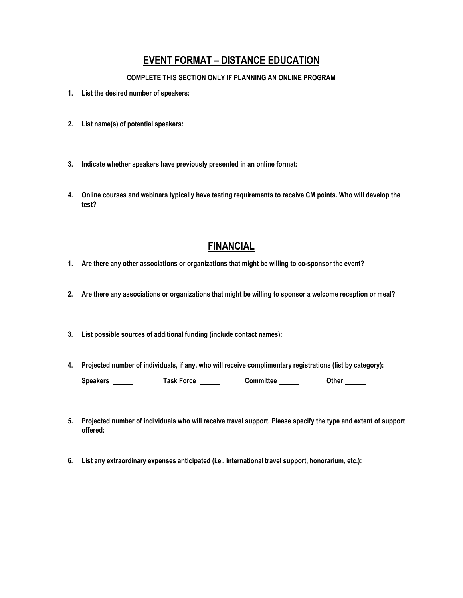# **EVENT FORMAT – DISTANCE EDUCATION**

### **COMPLETE THIS SECTION ONLY IF PLANNING AN ONLINE PROGRAM**

- **1. List the desired number of speakers:**
- **2. List name(s) of potential speakers:**
- **3. Indicate whether speakers have previously presented in an online format:**
- **4. Online courses and webinars typically have testing requirements to receive CM points. Who will develop the test?**

# **FINANCIAL**

- **1. Are there any other associations or organizations that might be willing to co-sponsor the event?**
- 2. Are there any associations or organizations that might be willing to sponsor a welcome reception or meal?
- **3. List possible sources of additional funding (include contact names):**
- **4. Projected number of individuals, if any, who will receive complimentary registrations (list by category): Speakers Task Force Committee Other**
- **5. Projected number of individuals who will receive travel support. Please specify the type and extent of support offered:**
- **6. List any extraordinary expenses anticipated (i.e., international travel support, honorarium, etc.):**